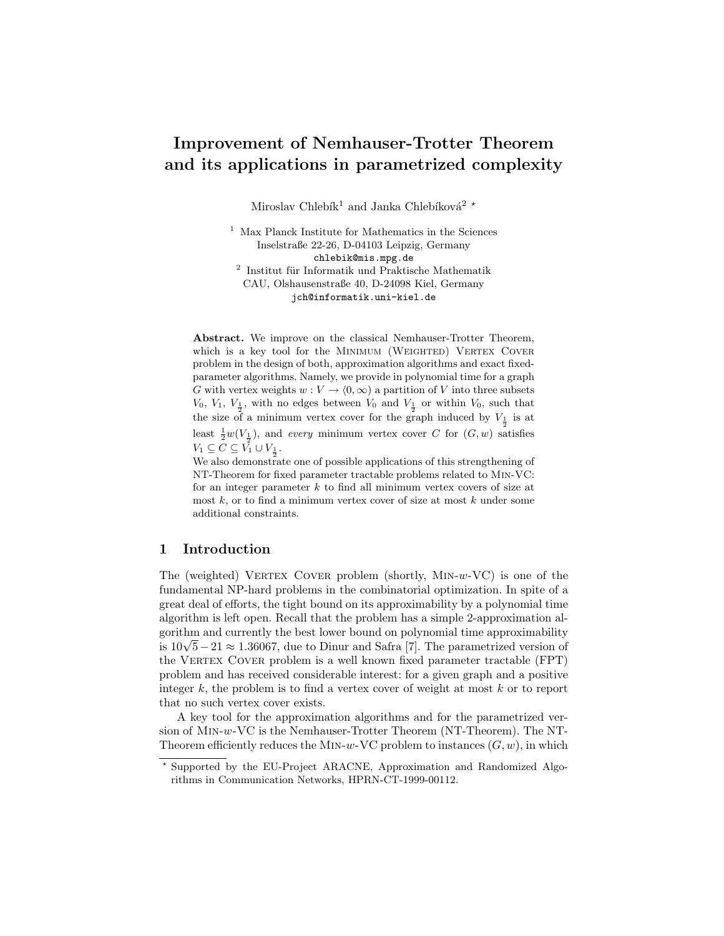# Improvement of Nemhauser-Trotter Theorem and its applications in parametrized complexity

Miroslav Chlebík<br/>1 and Janka Chlebíková $^2$   $^\star$ 

<sup>1</sup> Max Planck Institute for Mathematics in the Sciences Inselstraße 22-26, D-04103 Leipzig, Germany chlebik@mis.mpg.de  $^2$ Institut für Informatik und Praktische Mathematik CAU, Olshausenstraße 40, D-24098 Kiel, Germany jch@informatik.uni-kiel.de

Abstract. We improve on the classical Nemhauser-Trotter Theorem, which is a key tool for the MINIMUM (WEIGHTED) VERTEX COVER problem in the design of both, approximation algorithms and exact fixedparameter algorithms. Namely, we provide in polynomial time for a graph G with vertex weights  $w : V \to (0, \infty)$  a partition of V into three subsets  $V_0, V_1, V_{\frac{1}{2}},$  with no edges between  $V_0$  and  $V_{\frac{1}{2}}$  or within  $V_0$ , such that the size of a minimum vertex cover for the graph induced by  $V_{\frac{1}{2}}$  is at least  $\frac{1}{2}w(V_{\frac{1}{2}})$ , and every minimum vertex cover C for  $(G, w)$  satisfies  $V_1 \subseteq \mathcal{C} \subseteq V_1^{\overline{2}} \cup V_1$ .

 $\frac{1}{2}$  We also demonstrate one of possible applications of this strengthening of NT-Theorem for fixed parameter tractable problems related to Min-VC: for an integer parameter  $k$  to find all minimum vertex covers of size at most  $k$ , or to find a minimum vertex cover of size at most  $k$  under some additional constraints.

## 1 Introduction

The (weighted) VERTEX COVER problem (shortly,  $MIN-w-VC$ ) is one of the fundamental NP-hard problems in the combinatorial optimization. In spite of a great deal of efforts, the tight bound on its approximability by a polynomial time algorithm is left open. Recall that the problem has a simple 2-approximation algorithm and currently the best lower bound on polynomial time approximability gorithm and currently the best lower bound on polynomial time approximability<br>is 10√5 – 21 ≈ 1.36067, due to Dinur and Safra [7]. The parametrized version of the VERTEX COVER problem is a well known fixed parameter tractable (FPT) problem and has received considerable interest: for a given graph and a positive integer  $k$ , the problem is to find a vertex cover of weight at most  $k$  or to report that no such vertex cover exists.

A key tool for the approximation algorithms and for the parametrized version of Min-w-VC is the Nemhauser-Trotter Theorem (NT-Theorem). The NT-Theorem efficiently reduces the MIN-w-VC problem to instances  $(G, w)$ , in which

<sup>?</sup> Supported by the EU-Project ARACNE, Approximation and Randomized Algorithms in Communication Networks, HPRN-CT-1999-00112.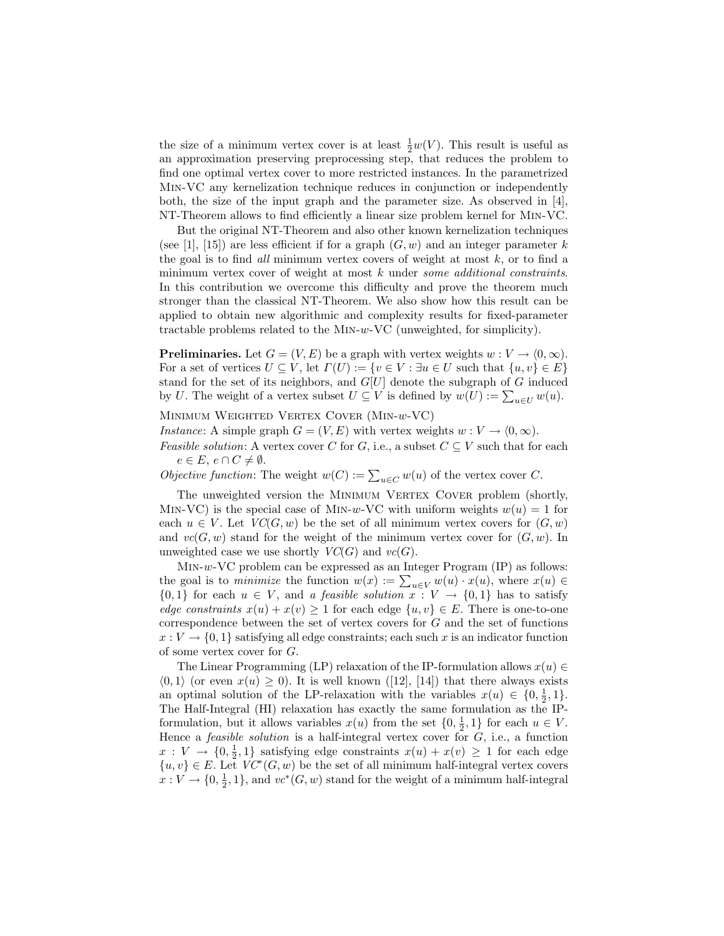the size of a minimum vertex cover is at least  $\frac{1}{2}w(V)$ . This result is useful as an approximation preserving preprocessing step, that reduces the problem to find one optimal vertex cover to more restricted instances. In the parametrized Min-VC any kernelization technique reduces in conjunction or independently both, the size of the input graph and the parameter size. As observed in [4], NT-Theorem allows to find efficiently a linear size problem kernel for Min-VC.

But the original NT-Theorem and also other known kernelization techniques (see [1], [15]) are less efficient if for a graph  $(G, w)$  and an integer parameter k the goal is to find all minimum vertex covers of weight at most  $k$ , or to find a minimum vertex cover of weight at most  $k$  under some additional constraints. In this contribution we overcome this difficulty and prove the theorem much stronger than the classical NT-Theorem. We also show how this result can be applied to obtain new algorithmic and complexity results for fixed-parameter tractable problems related to the Min-w-VC (unweighted, for simplicity).

**Preliminaries.** Let  $G = (V, E)$  be a graph with vertex weights  $w : V \to (0, \infty)$ . For a set of vertices  $U \subseteq V$ , let  $\Gamma(U) := \{v \in V : \exists u \in U \text{ such that } \{u, v\} \in E\}$ stand for the set of its neighbors, and  $G[U]$  denote the subgraph of  $G$  induced stand for the set of its heighbors, and  $G[U]$  denote the subgraph of G induced by  $U$ . The weight of a vertex subset  $U \subseteq V$  is defined by  $w(U) := \sum_{u \in U} w(u)$ .

Minimum Weighted Vertex Cover (Min-w-VC)

*Instance*: A simple graph  $G = (V, E)$  with vertex weights  $w : V \to (0, \infty)$ .

*Feasible solution:* A vertex cover C for G, i.e., a subset  $C \subseteq V$  such that for each  $e \in E, e \cap C \neq \emptyset.$ 

 $e \in E$ ,  $e \cap C \neq \emptyset$ .<br>Objective function: The weight  $w(C) := \sum_{u \in C} w(u)$  of the vertex cover C.

The unweighted version the MINIMUM VERTEX COVER problem (shortly, MIN-VC) is the special case of MIN-w-VC with uniform weights  $w(u) = 1$  for each  $u \in V$ . Let  $VC(G, w)$  be the set of all minimum vertex covers for  $(G, w)$ and  $vc(G, w)$  stand for the weight of the minimum vertex cover for  $(G, w)$ . In unweighted case we use shortly  $VC(G)$  and  $vc(G)$ .

 $MIN-w-VC$  problem can be expressed as an Integer Program  $(IP)$  as follows: MIN-*w*- VC problem can be expressed as an integer Program (IP) as follows:<br>the goal is to *minimize* the function  $w(x) := \sum_{u \in V} w(u) \cdot x(u)$ , where  $x(u) \in$  ${0,1}$  for each  $u \in V$ , and a *feasible solution*  $x: V \to {0,1}$  has to satisfy edge constraints  $x(u) + x(v) \ge 1$  for each edge  $\{u, v\} \in E$ . There is one-to-one correspondence between the set of vertex covers for G and the set of functions  $x: V \to \{0, 1\}$  satisfying all edge constraints; each such x is an indicator function of some vertex cover for G.

The Linear Programming (LP) relaxation of the IP-formulation allows  $x(u) \in$  $\langle 0, 1 \rangle$  (or even  $x(u) \geq 0$ ). It is well known ([12], [14]) that there always exists an optimal solution of the LP-relaxation with the variables  $x(u) \in \{0, \frac{1}{2}, 1\}.$ The Half-Integral (HI) relaxation has exactly the same formulation as the IPformulation, but it allows variables  $x(u)$  from the set  $\{0, \frac{1}{2}, 1\}$  for each  $u \in V$ . Hence a *feasible solution* is a half-integral vertex cover for  $G$ , i.e., a function  $x: V \to \{0, \frac{1}{2}, 1\}$  satisfying edge constraints  $x(u) + x(v) \geq 1$  for each edge  ${u, v} \in E$ . Let  $VC^*(G, w)$  be the set of all minimum half-integral vertex covers  $x: V \to \{0, \frac{1}{2}, 1\}$ , and  $vc^*(G, w)$  stand for the weight of a minimum half-integral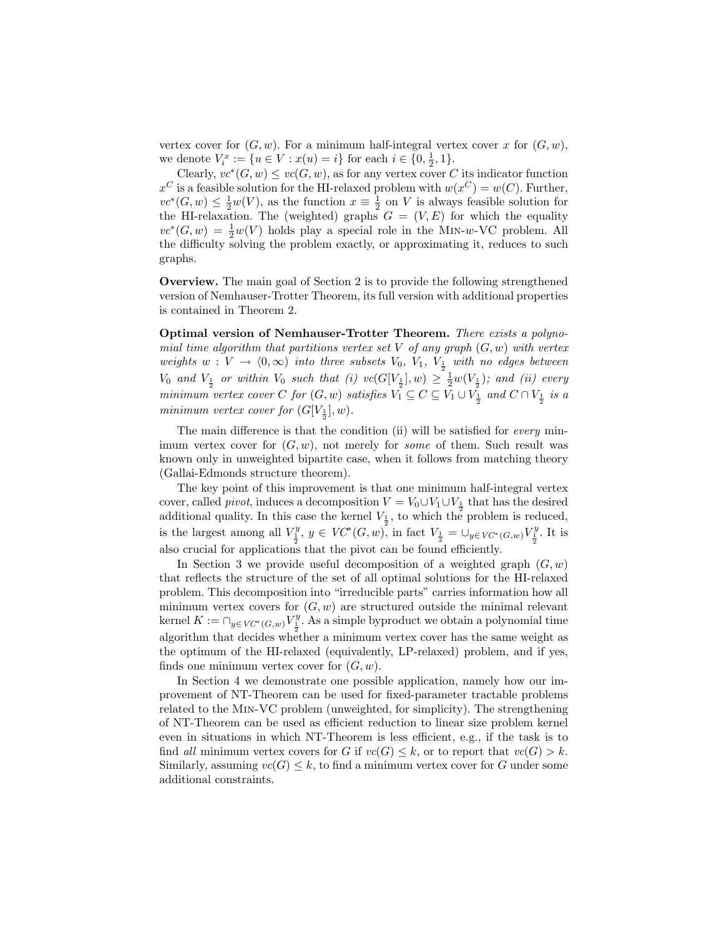vertex cover for  $(G, w)$ . For a minimum half-integral vertex cover x for  $(G, w)$ , we denote  $V_i^x := \{u \in V : x(u) = i\}$  for each  $i \in \{0, \frac{1}{2}, 1\}.$ 

Clearly,  $vc^*(G, w) \leq vc(G, w)$ , as for any vertex cover C its indicator function  $x^C$  is a feasible solution for the HI-relaxed problem with  $w(x^C) = w(C)$ . Further,  $vc^*(G, w) \leq \frac{1}{2}w(V)$ , as the function  $x \equiv \frac{1}{2}$  on V is always feasible solution for the HI-relaxation. The (weighted) graphs  $G = (V, E)$  for which the equality  $vc*(G, w) = \frac{1}{2}w(V)$  holds play a special role in the MIN-w-VC problem. All the difficulty solving the problem exactly, or approximating it, reduces to such graphs.

Overview. The main goal of Section 2 is to provide the following strengthened version of Nemhauser-Trotter Theorem, its full version with additional properties is contained in Theorem 2.

Optimal version of Nemhauser-Trotter Theorem. There exists a polynomial time algorithm that partitions vertex set V of any graph  $(G, w)$  with vertex weights  $w: V \to (0, \infty)$  into three subsets  $V_0$ ,  $V_1$ ,  $V_{\frac{1}{2}}$  with no edges between  $V_0$  and  $V_{\frac{1}{2}}$  or within  $V_0$  such that (i)  $vc(G[V_{\frac{1}{2}}], w) \geq \frac{1}{2}w(V_{\frac{1}{2}})$ ; and (ii) every minimum vertex cover C for  $(G, w)$  satisfies  $V_1 \subseteq C \subseteq V_1 \cup V_{\frac{1}{2}}$  and  $C \cap V_{\frac{1}{2}}$  is a minimum vertex cover for  $(G[V_{\frac{1}{2}}], w)$ .

The main difference is that the condition (ii) will be satisfied for *every* minimum vertex cover for  $(G, w)$ , not merely for some of them. Such result was known only in unweighted bipartite case, when it follows from matching theory (Gallai-Edmonds structure theorem).

The key point of this improvement is that one minimum half-integral vertex cover, called *pivot*, induces a decomposition  $V = V_0 \cup V_1 \cup V_{\frac{1}{2}}$  that has the desired additional quality. In this case the kernel  $V_{\frac{1}{2}}$ , to which the problem is reduced, is the largest among all  $V_{\frac{1}{2}}^y$ ,  $y \in VC^*(G, w)$ , in fact  $V_{\frac{1}{2}} = \bigcup_{y \in VC^*(G, w)} V_{\frac{1}{2}}^y$ . It is also crucial for applications that the pivot can be found efficiently.

In Section 3 we provide useful decomposition of a weighted graph  $(G, w)$ that reflects the structure of the set of all optimal solutions for the HI-relaxed problem. This decomposition into "irreducible parts" carries information how all minimum vertex covers for  $(G, w)$  are structured outside the minimal relevant kernel  $K := \bigcap_{y \in V\mathcal{C}^*(G,w)} V^y_\perp$ . As a simple byproduct we obtain a polynomial time algorithm that decides whether a minimum vertex cover has the same weight as the optimum of the HI-relaxed (equivalently, LP-relaxed) problem, and if yes, finds one minimum vertex cover for  $(G, w)$ .

In Section 4 we demonstrate one possible application, namely how our improvement of NT-Theorem can be used for fixed-parameter tractable problems related to the Min-VC problem (unweighted, for simplicity). The strengthening of NT-Theorem can be used as efficient reduction to linear size problem kernel even in situations in which NT-Theorem is less efficient, e.g., if the task is to find all minimum vertex covers for G if  $vc(G) \leq k$ , or to report that  $vc(G) > k$ . Similarly, assuming  $vc(G) \leq k$ , to find a minimum vertex cover for G under some additional constraints.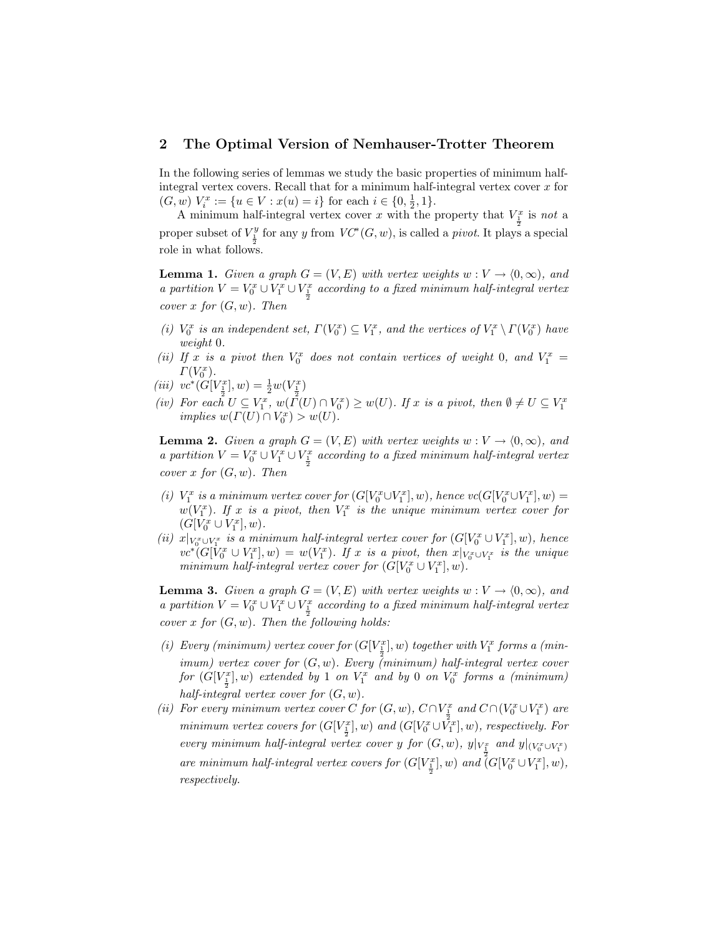#### 2 The Optimal Version of Nemhauser-Trotter Theorem

In the following series of lemmas we study the basic properties of minimum halfintegral vertex covers. Recall that for a minimum half-integral vertex cover  $x$  for  $(G, w) V_i^x := \{u \in V : x(u) = i\}$  for each  $i \in \{0, \frac{1}{2}, 1\}.$ 

A minimum half-integral vertex cover x with the property that  $V_1^x$  is not a proper subset of  $V_{\frac{1}{2}}^y$  for any y from  $VC^*(G, w)$ , is called a *pivot*. It plays a special role in what follows.

**Lemma 1.** Given a graph  $G = (V, E)$  with vertex weights  $w : V \to (0, \infty)$ , and a partition  $V = V_0^x \cup V_1^x \cup V_{\frac{1}{2}}^x$  according to a fixed minimum half-integral vertex cover x for  $(G, w)$ . Then

- (i)  $V_0^x$  is an independent set,  $\Gamma(V_0^x) \subseteq V_1^x$ , and the vertices of  $V_1^x \setminus \Gamma(V_0^x)$  have weight 0.
- (ii) If x is a pivot then  $V_0^x$  does not contain vertices of weight 0, and  $V_1^x$  =  $\Gamma(V_0^x)$ .
- (iii)  $vc^*(G[V_{\frac{1}{2}}^x], w) = \frac{1}{2}w(V_{\frac{1}{2}}^x)$
- (iv) For each  $U \subseteq V_1^x$ ,  $w(\tilde{\Gamma}(U) \cap V_0^x) \geq w(U)$ . If  $x$  is a pivot, then  $\emptyset \neq U \subseteq V_1^x$  implies  $w(\Gamma(U) \cap V_0^x) > w(U)$ .

**Lemma 2.** Given a graph  $G = (V, E)$  with vertex weights  $w : V \to (0, \infty)$ , and a partition  $V = V_0^x \cup V_1^x \cup V_{\frac{1}{2}}^x$  according to a fixed minimum half-integral vertex cover x for  $(G, w)$ . Then

- (i)  $V_1^x$  is a minimum vertex cover for  $(G[V_0^x \cup V_1^x], w)$ , hence  $vc(G[V_0^x \cup V_1^x], w)$  =  $w(V_1^x)$ . If x is a pivot, then  $V_1^x$  is the unique minimum vertex cover for  $(G[V_0^x \cup V_1^x], w).$
- (ii)  $x|_{V_0^x \cup V_1^x}$  is a minimum half-integral vertex cover for  $(G[V_0^x \cup V_1^x], w)$ , hence  $vc^*(G[V_0^x \cup V_1^x], w) = w(V_1^x)$ . If x is a pivot, then  $x|_{V_0^x \cup V_1^x}$  is the unique minimum half-integral vertex cover for  $(G[V_0^x \cup V_1^x], w)$ .

**Lemma 3.** Given a graph  $G = (V, E)$  with vertex weights  $w : V \to (0, \infty)$ , and a partition  $V = V_0^x \cup V_1^x \cup V_{\frac{1}{2}}^x$  according to a fixed minimum half-integral vertex cover x for  $(G, w)$ . Then the following holds:

- (i) Every (minimum) vertex cover for  $(G[V_{\frac{1}{2}}], w)$  together with  $V_1^x$  forms a (min- $\sum_{i=1}^{\infty}$  imum) vertex cover for  $(G, w)$ . Every (minimum) half-integral vertex cover for  $(G[V_{{\underline{1}}}^x], w)$  extended by 1 on  $V_1^x$  and by 0 on  $V_0^x$  forms a (minimum) half-integral vertex cover for  $(G, w)$ .
- (ii) For every minimum vertex cover C for  $(G, w)$ ,  $C \cap V_{\frac{1}{2}}^x$  and  $C \cap (V_0^x \cup V_1^x)$  are minimum vertex covers for  $(G[V_{\frac{1}{2}}], w)$  and  $(G[V_0^x \cup V_1^x], w)$ , respectively. For every minimum half-integral vertex cover y for  $(G, w)$ ,  $y|_{V_{\frac{1}{1}}}$  and  $y|_{(V_0^x \cup V_1^x)}$ are minimum half-integral vertex covers for  $(G[V_{\frac{1}{2}}], w)$  and  $(G[V_0^x \cup V_1^x], w)$ , respectively.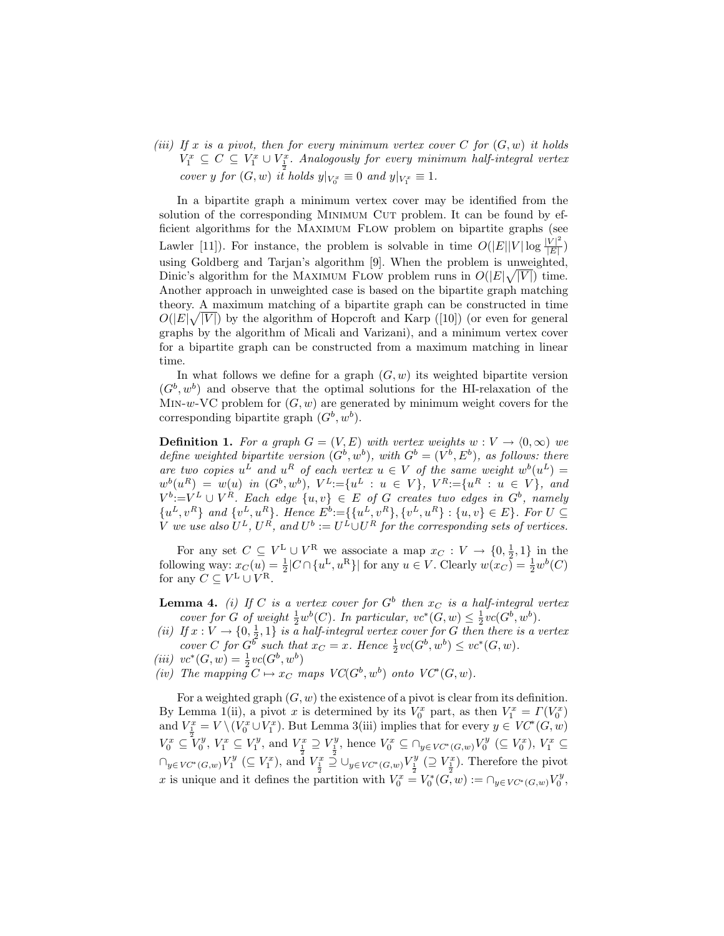(iii) If x is a pivot, then for every minimum vertex cover C for  $(G, w)$  it holds  $V_1^x \subseteq C \subseteq V_1^x \cup V_2^x$ . Analogously for every minimum half-integral vertex cover y for  $(G, w)$  it holds  $y|_{V_0^x} \equiv 0$  and  $y|_{V_1^x} \equiv 1$ .

In a bipartite graph a minimum vertex cover may be identified from the solution of the corresponding MINIMUM CUT problem. It can be found by efficient algorithms for the Maximum Flow problem on bipartite graphs (see Lawler [11]). For instance, the problem is solvable in time  $O(|E||V| \log \frac{|V|^2}{|F|})$  $\frac{V|^{-}}{|E|}\big)$ using Goldberg and Tarjan's algorithm [9]. When the problem is unweighted, Dinic's algorithm for the MAXIMUM FLOW problem runs in  $O(|E|\sqrt{|V|})$  time. Another approach in unweighted case is based on the bipartite graph matching theory. A maximum matching of a bipartite graph can be constructed in time  $O(|E|\sqrt{|V|})$  by the algorithm of Hopcroft and Karp ([10]) (or even for general graphs by the algorithm of Micali and Varizani), and a minimum vertex cover for a bipartite graph can be constructed from a maximum matching in linear time.

In what follows we define for a graph  $(G, w)$  its weighted bipartite version  $(G<sup>b</sup>, w<sup>b</sup>)$  and observe that the optimal solutions for the HI-relaxation of the MIN-w-VC problem for  $(G, w)$  are generated by minimum weight covers for the corresponding bipartite graph  $(G^b, w^b)$ .

**Definition 1.** For a graph  $G = (V, E)$  with vertex weights  $w : V \to (0, \infty)$  we define weighted bipartite version  $(G^b, w^b)$ , with  $G^b = (V^b, E^b)$ , as follows: there are two copies  $u^L$  and  $u^R$  of each vertex  $u \in V$  of the same weight  $w^b(u^L) =$  $w^{b}(u^{R}) = w(u)$  in  $(G^{b}, w^{b}), V^{L} := \{u^{L} : u \in V\}, V^{R} := \{u^{R} : u \in V\},$  and  $V^b:=V^L\cup V^R$ . Each edge  $\{u,v\}\in E$  of G creates two edges in  $G^b$ , namely  $\{u^L, v^R\}$  and  $\{v^L, u^R\}$ . Hence  $E^b := \{\{u^L, v^R\}, \{v^L, u^R\} : \{u, v\} \in E\}$ . For  $U \subseteq$ V we use also  $U^L$ ,  $U^R$ , and  $U^b := U^L \cup U^R$  for the corresponding sets of vertices.

For any set  $C \subseteq V^{\mathcal{L}} \cup V^{\mathcal{R}}$  we associate a map  $x_C : V \to \{0, \frac{1}{2}, 1\}$  in the following way:  $x_C(u) = \frac{1}{2} |C \cap \{u^L, u^R\}|$  for any  $u \in V$ . Clearly  $w(x_C) = \frac{1}{2}w^b(C)$ for any  $C \subseteq V^{\mathcal{L}} \cup V^{\mathcal{R}}$ .

- **Lemma 4.** (i) If C is a vertex cover for  $G^b$  then  $x_C$  is a half-integral vertex cover for G of weight  $\frac{1}{2}w^b(C)$ . In particular,  $vc^*(G, w) \leq \frac{1}{2}vc(G^b, w^b)$ .
- (ii) If  $x: V \to \{0, \frac{1}{2}, 1\}$  is a half-integral vertex cover for G then there is a vertex cover C for  $G^b$  such that  $x_C = x$ . Hence  $\frac{1}{2}vc(G^b, w^b) \leq vc^*(G, w)$ .
- (*iii*)  $vc^*(G, w) = \frac{1}{2}vc(G^b, w^b)$
- (iv) The mapping  $C \mapsto x_C$  maps  $VC(G^b, w^b)$  onto  $VC^*(G, w)$ .

For a weighted graph  $(G, w)$  the existence of a pivot is clear from its definition. By Lemma 1(ii), a pivot x is determined by its  $V_0^x$  part, as then  $V_1^x = \Gamma(V_0^x)$ and  $V_{\frac{1}{2}}^x = V \setminus (V_0^x \cup V_1^x)$ . But Lemma 3(iii) implies that for every  $y \in V\mathcal{C}^*(G,w)$  $V_0^x \subseteq V_0^y$ ,  $V_1^x \subseteq V_1^y$ , and  $V_{\frac{1}{2}}^x \supseteq V_{\frac{1}{2}}^y$ , hence  $V_0^x \subseteq \bigcap_{y \in VC^*(G,w)} V_0^y \ (\subseteq V_0^x)$ ,  $V_1^x \subseteq$  $\bigcap_{y\in VC^*(G,w)} V_1^y \ (\subseteq V_1^x)$ , and  $V_{\frac{1}{2}}^x \overset{\circ}{\supseteq} \bigcup_{y\in VC^*(G,w)} V_{\frac{1}{2}}^y \ (\supseteq V_{\frac{1}{2}}^x)$ . Therefore the pivot x is unique and it defines the partition with  $V_0^x = V_0^*(G, w) := \bigcap_{y \in VC^*(G, w)} V_0^y$ ,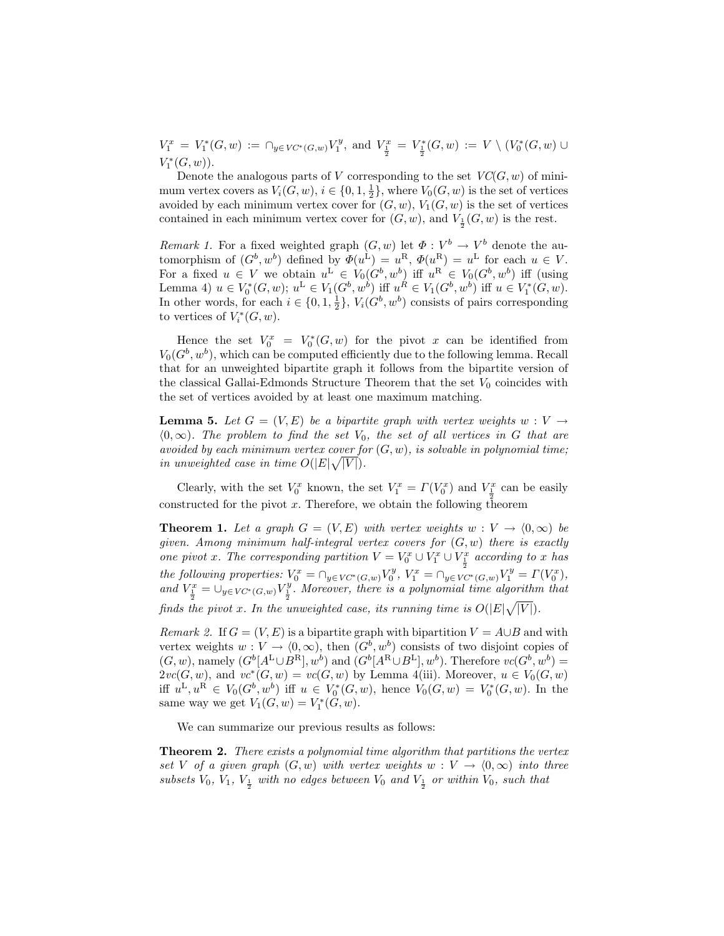$V_1^x = V_1^*(G, w) := \bigcap_{y \in V\mathcal{C}^*(G, w)} V_1^y$ , and  $V_{\frac{1}{2}}^x = V_{\frac{1}{2}}^*(G, w) := V \setminus (V_0^*(G, w) \cup$  $V_1^*(G, w)$ ).

Denote the analogous parts of V corresponding to the set  $VC(G, w)$  of minimum vertex covers as  $V_i(G, w), i \in \{0, 1, \frac{1}{2}\},\$  where  $V_0(G, w)$  is the set of vertices avoided by each minimum vertex cover for  $(G, w)$ ,  $V_1(G, w)$  is the set of vertices contained in each minimum vertex cover for  $(G, w)$ , and  $V_{\frac{1}{2}}(G, w)$  is the rest.

*Remark 1.* For a fixed weighted graph  $(G, w)$  let  $\Phi : V^b \to V^b$  denote the automorphism of  $(G^b, w^b)$  defined by  $\Phi(u^L) = u^R$ ,  $\Phi(u^R) = u^L$  for each  $u \in V$ . For a fixed  $u \in V$  we obtain  $u^L \in V_0(G^b, w^b)$  iff  $u^R \in V_0(G^b, w^b)$  iff (using Lemma 4)  $u \in V_0^*(G, w)$ ;  $u^L \in V_1(G^b, w^b)$  iff  $u^R \in V_1(G^b, w^b)$  iff  $u \in V_1^*(G, w)$ . In other words, for each  $i \in \{0, 1, \frac{1}{2}\}, V_i(G^b, w^b)$  consists of pairs corresponding to vertices of  $V_i^*(G, w)$ .

Hence the set  $V_0^x = V_0^*(G, w)$  for the pivot x can be identified from  $V_0(G^b, w^b)$ , which can be computed efficiently due to the following lemma. Recall that for an unweighted bipartite graph it follows from the bipartite version of the classical Gallai-Edmonds Structure Theorem that the set  $V_0$  coincides with the set of vertices avoided by at least one maximum matching.

**Lemma 5.** Let  $G = (V, E)$  be a bipartite graph with vertex weights  $w : V \rightarrow$  $(0, \infty)$ . The problem to find the set  $V_0$ , the set of all vertices in G that are avoided by each minimum vertex cover for  $(G, w)$ , is solvable in polynomial time; in unweighted case in time  $O(|E|\sqrt{|V|})$ .

Clearly, with the set  $V_0^x$  known, the set  $V_1^x = \Gamma(V_0^x)$  and  $V_{\frac{1}{x}}^x$  can be easily constructed for the pivot x. Therefore, we obtain the following theorem

**Theorem 1.** Let a graph  $G = (V, E)$  with vertex weights  $w : V \to (0, \infty)$  be given. Among minimum half-integral vertex covers for  $(G, w)$  there is exactly one pivot x. The corresponding partition  $V = V_0^x \cup V_1^x \cup V_{\frac{1}{x}}^x$  according to x has the following properties:  $V_0^x = \bigcap_{y \in VC^*(G,w)} V_0^y$ ,  $V_1^x = \bigcap_{y \in VC^*(G,w)} V_1^y = \Gamma(V_0^x)$ , and  $V_{\frac{1}{2}}^x = \bigcup_{y \in VC^*(G,w)} V_{\frac{1}{2}}^y$ . Moreover, there is a polynomial time algorithm that finds the pivot x. In the unweighted case, its running time is  $O(|E|\sqrt{|V|})$ .  $\overline{\phantom{a}}$ 

*Remark 2.* If  $G = (V, E)$  is a bipartite graph with bipartition  $V = A \cup B$  and with vertex weights  $w: V \to (0, \infty)$ , then  $(G^b, w^b)$  consists of two disjoint copies of  $(G, w)$ , namely  $(G^b[A^L \cup B^R], w^b)$  and  $(G^b[A^R \cup B^L], w^b)$ . Therefore  $vc(G^b, w^b)$  =  $2\nu c(G, w)$ , and  $\nu c^*(G, w) = \nu c(G, w)$  by Lemma 4(iii). Moreover,  $u \in V_0(G, w)$ iff  $u^L, u^R \in V_0(G^b, w^b)$  iff  $u \in V_0^*(G, w)$ , hence  $V_0(G, w) = V_0^*(G, w)$ . In the same way we get  $V_1(G, w) = V_1^*(G, w)$ .

We can summarize our previous results as follows:

**Theorem 2.** There exists a polynomial time algorithm that partitions the vertex set V of a given graph  $(G, w)$  with vertex weights  $w : V \to (0, \infty)$  into three subsets  $V_0$ ,  $V_1$ ,  $V_{\frac{1}{2}}$  with no edges between  $V_0$  and  $V_{\frac{1}{2}}$  or within  $V_0$ , such that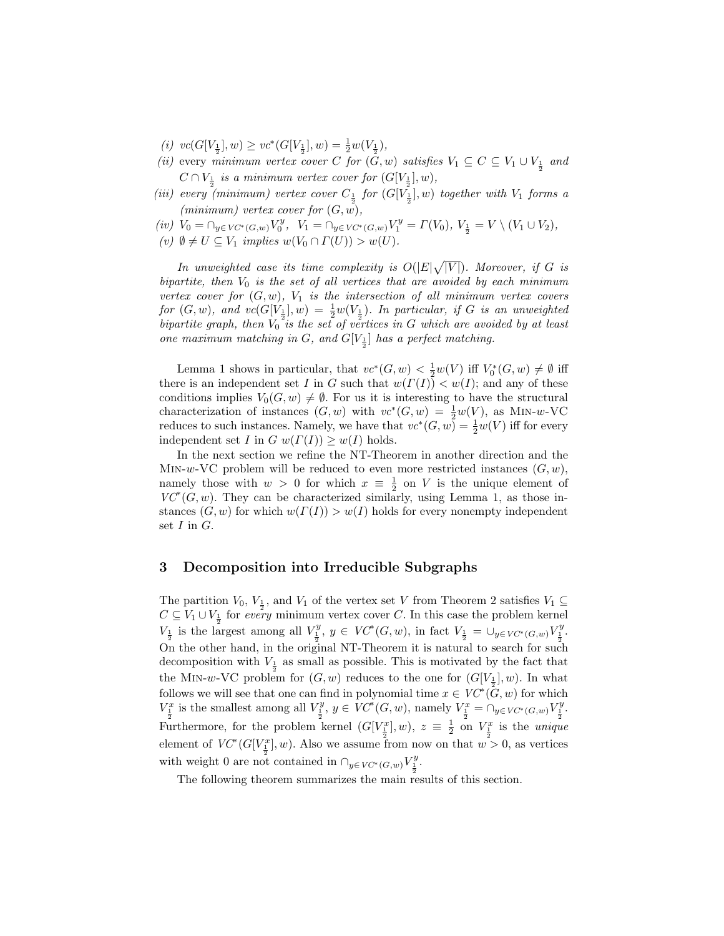- (i)  $vc(G[V_{\frac{1}{2}}], w) \geq vc*(G[V_{\frac{1}{2}}], w) = \frac{1}{2}w(V_{\frac{1}{2}})$ ,
- (ii) every minimum vertex cover C for  $(G, w)$  satisfies  $V_1 \subseteq C \subseteq V_1 \cup V_{\frac{1}{2}}$  and  $C \cap V_{\frac{1}{2}}$  is a minimum vertex cover for  $(G[V_{\frac{1}{2}}], w)$ ,
- (iii) every (minimum) vertex cover  $C_{\frac{1}{2}}$  for  $(G[V_{\frac{1}{2}}], w)$  together with  $V_1$  forms a (minimum) vertex cover for  $(G, w)$ ,

(iv)  $V_0 = \bigcap_{y \in VC^*(G,w)} V_0^y$ ,  $V_1 = \bigcap_{y \in VC^*(G,w)} V_1^y = \Gamma(V_0)$ ,  $V_{\frac{1}{2}} = V \setminus (V_1 \cup V_2)$ ,

(v)  $\emptyset \neq U \subseteq V_1$  implies  $w(V_0 \cap \Gamma(U)) > w(U)$ .

In unweighted case its time complexity is  $O(|E|)$ p  $|V|$ ). Moreover, if G is bipartite, then  $V_0$  is the set of all vertices that are avoided by each minimum vertex cover for  $(G, w)$ ,  $V_1$  is the intersection of all minimum vertex covers for  $(G, w)$ , and  $vc(G[V_{\frac{1}{2}}], w) = \frac{1}{2}w(V_{\frac{1}{2}})$ . In particular, if G is an unweighted bipartite graph, then  $V_0^{\frac{1}{2}}$  is the set of vertices in G which are avoided by at least one maximum matching in G, and  $G[V_{\frac{1}{2}}]$  has a perfect matching.

Lemma 1 shows in particular, that  $vc^*(G, w) < \frac{1}{2}w(V)$  iff  $V_0^*(G, w) \neq \emptyset$  iff there is an independent set I in G such that  $w(\Gamma(I)) < w(I)$ ; and any of these conditions implies  $V_0(G, w) \neq \emptyset$ . For us it is interesting to have the structural characterization of instances  $(G, w)$  with  $vc^*(G, w) = \frac{1}{2}w(V)$ , as MIN-w-VC reduces to such instances. Namely, we have that  $vc^*(G, w) = \frac{1}{2}w(V)$  iff for every independent set I in G  $w(\Gamma(I)) \geq w(I)$  holds.

In the next section we refine the NT-Theorem in another direction and the MIN-w-VC problem will be reduced to even more restricted instances  $(G, w)$ , namely those with  $w > 0$  for which  $x \equiv \frac{1}{2}$  on V is the unique element of  $VC^*(G, w)$ . They can be characterized similarly, using Lemma 1, as those instances  $(G, w)$  for which  $w(\Gamma(I)) > w(I)$  holds for every nonempty independent set  $I$  in  $G$ .

#### 3 Decomposition into Irreducible Subgraphs

The partition  $V_0$ ,  $V_{\frac{1}{2}}$ , and  $V_1$  of the vertex set V from Theorem 2 satisfies  $V_1 \subseteq$  $C \subseteq V_1 \cup V_{\frac{1}{2}}$  for every minimum vertex cover C. In this case the problem kernel  $V_{\frac{1}{2}}$  is the largest among all  $V_{\frac{1}{2}}^y$ ,  $y \in VC^*(G, w)$ , in fact  $V_{\frac{1}{2}} = \bigcup_{y \in VC^*(G, w)} V_{\frac{1}{2}}^y$ . On the other hand, in the original NT-Theorem it is natural to search for such decomposition with  $V_{\frac{1}{2}}$  as small as possible. This is motivated by the fact that the M<sub>IN</sub>-w-VC problem for  $(G, w)$  reduces to the one for  $(G[V_{\frac{1}{2}}], w)$ . In what follows we will see that one can find in polynomial time  $x \in V\mathcal{C}^*(\tilde{G}, w)$  for which  $V_{\frac{1}{2}}^x$  is the smallest among all  $V_{\frac{1}{2}}^y$ ,  $y \in V C^*(G, w)$ , namely  $V_{\frac{1}{2}}^x = \cap_{y \in V C^*(G, w)} V_{\frac{1}{2}}^y$ . Furthermore, for the problem kernel  $(G[V_{\frac{1}{2}}], w)$ ,  $z \equiv \frac{1}{2}$  on  $V_{\frac{1}{2}}^x$  is the *unique* element of  $VC^*(G[V_{\frac{1}{2}}^x], w)$ . Also we assume from now on that  $w > 0$ , as vertices with weight 0 are not contained in  $\bigcap_{y \in VC^*(G,w)} V^y_{\frac{1}{2}}$ .

The following theorem summarizes the main results of this section.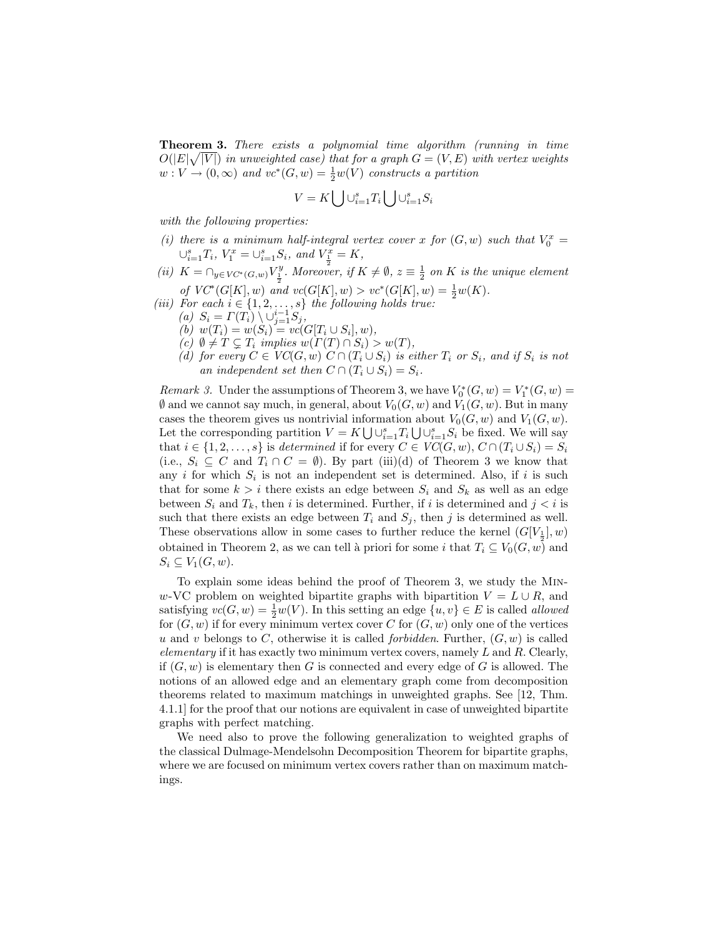**Theorem 3.** There exists a polynomial time algorithm (running in time  $O(|E|\sqrt{|V|})$  in unweighted case) that for a graph  $G = (V, E)$  with vertex weights  $w: V \to (0, \infty)$  and  $vc^*(G, w) = \frac{1}{2}w(V)$  constructs a partition

$$
V = K \bigcup \cup_{i=1}^{s} T_i \bigcup \cup_{i=1}^{s} S_i
$$

with the following properties:

- (i) there is a minimum half-integral vertex cover x for  $(G, w)$  such that  $V_0^x =$  $\cup_{i=1}^{s} T_i$ ,  $V_1^x = \cup_{i=1}^{s} S_i$ , and  $V_{\frac{1}{2}}^x = K$ ,
- (ii)  $K = \bigcap_{y \in VC^*(G,w)} V_{\frac{1}{2}}^y$ . Moreover, if  $K \neq \emptyset$ ,  $z \equiv \frac{1}{2}$  on K is the unique element of  $VC^*(G[K], w)$  and  $vc(G[K], w) > vc^*(G[K], w) = \frac{1}{2}w(K)$ .
- (iii) For each  $i \in \{1, 2, \ldots, s\}$  the following holds true:
	- (a)  $S_i = \Gamma(T_i) \setminus \bigcup_{j=1}^{i-1} S_j,$
	- (b)  $w(T_i) = w(S_i) = vc(G[T_i \cup S_i], w),$
	- (c)  $\emptyset \neq T \subseteq T_i$  implies  $w(\Gamma(T) \cap S_i) > w(T)$ ,
	- (d) for every  $C \in VC(G, w) \ C \cap (T_i \cup S_i)$  is either  $T_i$  or  $S_i$ , and if  $S_i$  is not an independent set then  $C \cap (T_i \cup S_i) = S_i$ .

*Remark 3.* Under the assumptions of Theorem 3, we have  $V_0^*(G, w) = V_1^*(G, w)$  $\emptyset$  and we cannot say much, in general, about  $V_0(G, w)$  and  $V_1(G, w)$ . But in many cases the theorem gives us nontrivial information about  $V_0(G, w)$  and  $V_1(G, w)$ . Let the corresponding partition  $V = K \bigcup \bigcup_{i=1}^s T_i \bigcup \bigcup_{i=1}^s S_i$  be fixed. We will say that  $i \in \{1, 2, ..., s\}$  is determined if for every  $C \in VC(G, w), C \cap (T_i \cup S_i) = S_i$ (i.e.,  $S_i \subseteq C$  and  $T_i \cap C = \emptyset$ ). By part (iii)(d) of Theorem 3 we know that any i for which  $S_i$  is not an independent set is determined. Also, if i is such that for some  $k > i$  there exists an edge between  $S_i$  and  $S_k$  as well as an edge between  $S_i$  and  $T_k$ , then i is determined. Further, if i is determined and  $j < i$  is such that there exists an edge between  $T_i$  and  $S_j$ , then j is determined as well. These observations allow in some cases to further reduce the kernel  $(G[V_{\frac{1}{2}}], w)$ obtained in Theorem 2, as we can tell à priori for some i that  $T_i \subseteq V_0(G, w)$  and  $S_i \subseteq V_1(G, w)$ .

To explain some ideas behind the proof of Theorem 3, we study the Minw-VC problem on weighted bipartite graphs with bipartition  $V = L \cup R$ , and satisfying  $vc(G, w) = \frac{1}{2}w(V)$ . In this setting an edge  $\{u, v\} \in E$  is called *allowed* for  $(G, w)$  if for every minimum vertex cover C for  $(G, w)$  only one of the vertices u and v belongs to C, otherwise it is called *forbidden*. Further,  $(G, w)$  is called elementary if it has exactly two minimum vertex covers, namely  $L$  and  $R$ . Clearly, if  $(G, w)$  is elementary then G is connected and every edge of G is allowed. The notions of an allowed edge and an elementary graph come from decomposition theorems related to maximum matchings in unweighted graphs. See [12, Thm. 4.1.1] for the proof that our notions are equivalent in case of unweighted bipartite graphs with perfect matching.

We need also to prove the following generalization to weighted graphs of the classical Dulmage-Mendelsohn Decomposition Theorem for bipartite graphs, where we are focused on minimum vertex covers rather than on maximum matchings.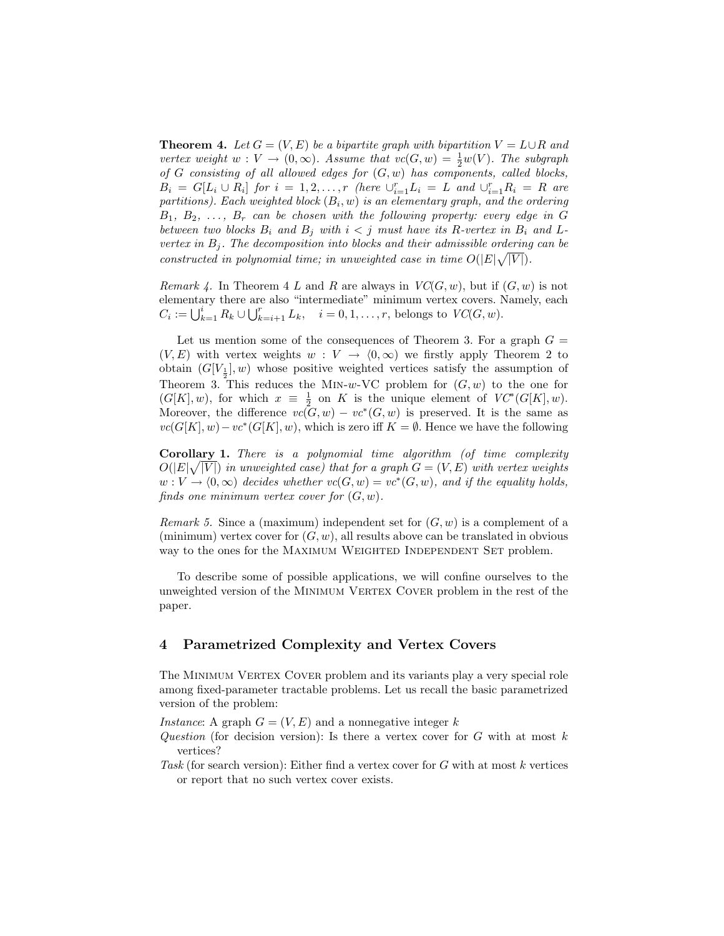**Theorem 4.** Let  $G = (V, E)$  be a bipartite graph with bipartition  $V = L \cup R$  and vertex weight  $w: V \to (0, \infty)$ . Assume that  $vc(G, w) = \frac{1}{2}w(V)$ . The subgraph of G consisting of all allowed edges for  $(G, w)$  has components, called blocks,  $B_i = G[L_i \cup R_i]$  for  $i = 1, 2, ..., r$  (here  $\bigcup_{i=1}^{r} L_i = L$  and  $\bigcup_{i=1}^{r} R_i = R$  are partitions). Each weighted block  $(B_i, w)$  is an elementary graph, and the ordering  $B_1, B_2, \ldots, B_r$  can be chosen with the following property: every edge in G between two blocks  $B_i$  and  $B_j$  with  $i < j$  must have its R-vertex in  $B_i$  and Lvertex in  $B_j$ . The decomposition into blocks and their admissible ordering can be constructed in polynomial time; in unweighted case in time  $O(|E|\sqrt{|V|})$ .

Remark 4. In Theorem 4 L and R are always in  $VC(G, w)$ , but if  $(G, w)$  is not elementary there are also "intermediate" minimum vertex covers. Namely, each  $G = \prod_{i=1}^{k} B_i + \prod_{i=1}^{r} I_i$ elementary there are also intermediate imminium vertex covers.  $\Gamma$ <br>  $C_i := \bigcup_{k=1}^i R_k \cup \bigcup_{k=i+1}^r L_k$ ,  $i = 0, 1, ..., r$ , belongs to  $VC(G, w)$ .

Let us mention some of the consequences of Theorem 3. For a graph  $G =$  $(V, E)$  with vertex weights  $w : V \to (0, \infty)$  we firstly apply Theorem 2 to obtain  $(G[V_1], w)$  whose positive weighted vertices satisfy the assumption of Theorem 3. This reduces the MIN-w-VC problem for  $(G, w)$  to the one for  $(G[K], w)$ , for which  $x \equiv \frac{1}{2}$  on K is the unique element of  $VC^*(G[K], w)$ . Moreover, the difference  $vc(G, w) - vc*(G, w)$  is preserved. It is the same as  $vc(G[K], w) - vc*(G[K], w)$ , which is zero iff  $K = \emptyset$ . Hence we have the following

**Corollary 1.** There is a polynomial time algorithm (of time complexity  $O(|E|\sqrt{|V|})$  in unweighted case) that for a graph  $G = (V, E)$  with vertex weights  $w: V \to (0, \infty)$  decides whether  $vc(G, w) = vc*(G, w)$ , and if the equality holds, finds one minimum vertex cover for  $(G, w)$ .

*Remark 5.* Since a (maximum) independent set for  $(G, w)$  is a complement of a (minimum) vertex cover for  $(G, w)$ , all results above can be translated in obvious way to the ones for the MAXIMUM WEIGHTED INDEPENDENT SET problem.

To describe some of possible applications, we will confine ourselves to the unweighted version of the MINIMUM VERTEX COVER problem in the rest of the paper.

### 4 Parametrized Complexity and Vertex Covers

The MINIMUM VERTEX COVER problem and its variants play a very special role among fixed-parameter tractable problems. Let us recall the basic parametrized version of the problem:

Instance: A graph  $G = (V, E)$  and a nonnegative integer k

- Question (for decision version): Is there a vertex cover for  $G$  with at most  $k$ vertices?
- Task (for search version): Either find a vertex cover for  $G$  with at most  $k$  vertices or report that no such vertex cover exists.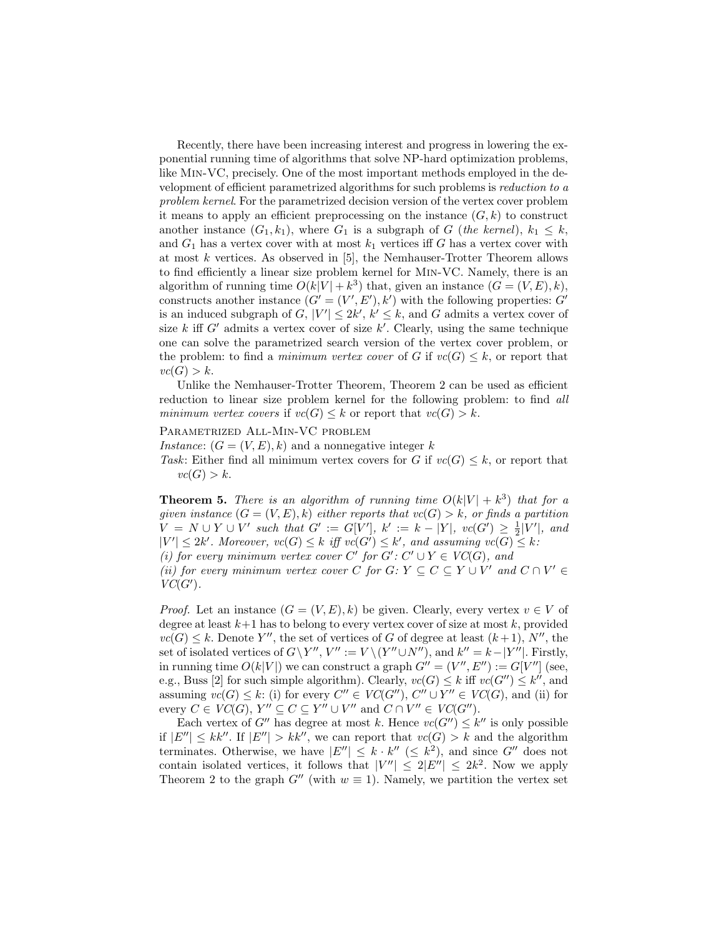Recently, there have been increasing interest and progress in lowering the exponential running time of algorithms that solve NP-hard optimization problems, like Min-VC, precisely. One of the most important methods employed in the development of efficient parametrized algorithms for such problems is reduction to a problem kernel. For the parametrized decision version of the vertex cover problem it means to apply an efficient preprocessing on the instance  $(G, k)$  to construct another instance  $(G_1, k_1)$ , where  $G_1$  is a subgraph of G (the kernel),  $k_1 \leq k$ , and  $G_1$  has a vertex cover with at most  $k_1$  vertices iff G has a vertex cover with at most  $k$  vertices. As observed in  $[5]$ , the Nemhauser-Trotter Theorem allows to find efficiently a linear size problem kernel for Min-VC. Namely, there is an algorithm of running time  $O(k|V| + k^3)$  that, given an instance  $(G = (V, E), k)$ , constructs another instance  $(G' = (V', E'), k')$  with the following properties: G' is an induced subgraph of  $G, |V'| \leq 2k'$ ,  $k' \leq k$ , and G admits a vertex cover of size k iff  $G'$  admits a vertex cover of size k'. Clearly, using the same technique one can solve the parametrized search version of the vertex cover problem, or the problem: to find a *minimum vertex cover* of G if  $vc(G) \leq k$ , or report that  $vc(G) > k$ .

Unlike the Nemhauser-Trotter Theorem, Theorem 2 can be used as efficient reduction to linear size problem kernel for the following problem: to find all minimum vertex covers if  $vc(G) \leq k$  or report that  $vc(G) > k$ .

Parametrized All-Min-VC problem

Instance:  $(G = (V, E), k)$  and a nonnegative integer k

Task: Either find all minimum vertex covers for G if  $vc(G) \leq k$ , or report that  $vc(G) > k$ .

**Theorem 5.** There is an algorithm of running time  $O(k|V| + k^3)$  that for a given instance  $(G = (V, E), k)$  either reports that  $vc(G) > k$ , or finds a partition  $V = N \cup Y \cup V'$  such that  $G' := G[V']$ ,  $k' := k - |Y|$ ,  $vc(G') \geq \frac{1}{2}|V'|$ , and  $|V'| \leq 2k'$ . Moreover,  $vc(G) \leq k$  iff  $vc(G') \leq k'$ , and assuming  $vc(G) \leq k$ .

(i) for every minimum vertex cover C' for  $G' : C' \cup Y \in VC(G)$ , and

(ii) for every minimum vertex cover C for  $G: Y \subseteq C \subseteq Y \cup V'$  and  $C \cap V' \in$  $VC(G')$ .

*Proof.* Let an instance  $(G = (V, E), k)$  be given. Clearly, every vertex  $v \in V$  of degree at least  $k+1$  has to belong to every vertex cover of size at most k, provided  $vc(G) \leq k$ . Denote Y'', the set of vertices of G of degree at least  $(k+1)$ , N'', the set of isolated vertices of  $G \ Y''$ ,  $V'' := V \setminus (Y'' \cup N'')$ , and  $k'' = k - |Y''|$ . Firstly, in running time  $O(k|V|)$  we can construct a graph  $G'' = (V'', E'') := G[V'']$  (see, e.g., Buss [2] for such simple algorithm). Clearly,  $vc(G) \leq k$  iff  $vc(G'') \leq k''$ , and assuming  $vc(G) \leq k$ : (i) for every  $C'' \in VC(G'')$ ,  $C'' \cup Y'' \in VC(G)$ , and (ii) for every  $C \in VC(G), Y'' \subseteq C \subseteq Y'' \cup V''$  and  $C \cap V'' \in VC(G'').$ 

Each vertex of G'' has degree at most k. Hence  $vc(G'') \leq k''$  is only possible if  $|E''| \leq kk''$ . If  $|E''| > kk''$ , we can report that  $vc(G) > k$  and the algorithm terminates. Otherwise, we have  $|E''| \leq k \cdot k'' \leq k^2$ , and since  $G''$  does not contain isolated vertices, it follows that  $|V''| \leq 2|E''| \leq 2k^2$ . Now we apply Theorem 2 to the graph  $G''$  (with  $w \equiv 1$ ). Namely, we partition the vertex set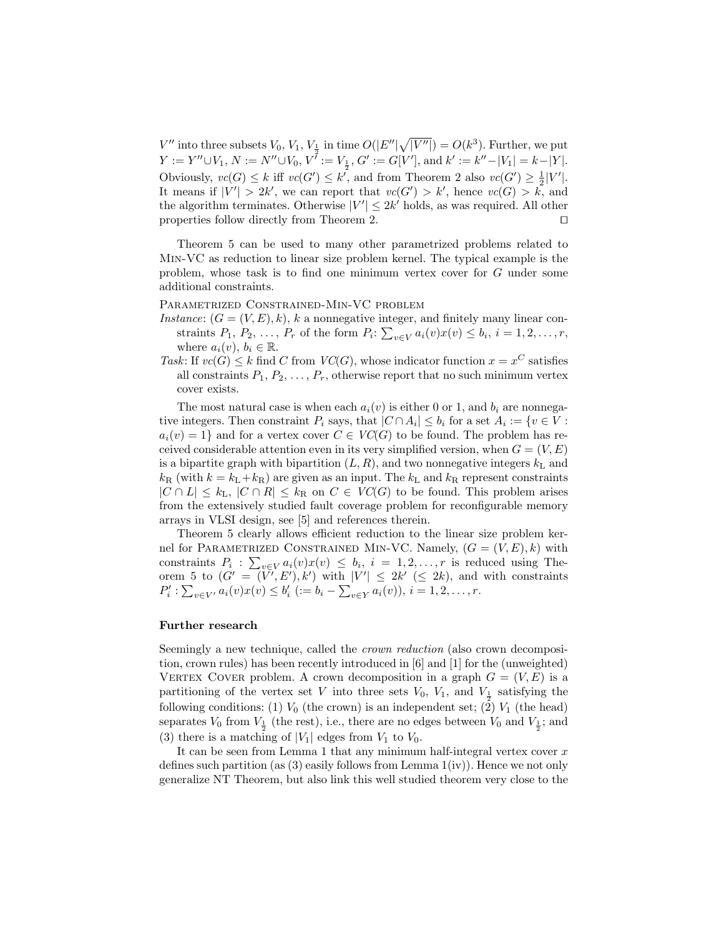$V''$  into three subsets  $V_0, V_1, V_{\frac{1}{2}}$  in time  $O(|E''|\sqrt{\frac{1}{2}})$  $Y := Y'' \cup V_1, N := N'' \cup V_0, V^{\overline{i}} := V_{\frac{1}{2}}, G' := G[V'], \text{ and } k' := k'' - |V_1| = k - |Y|.$  $\overline{|V''|}$ ) =  $O(k^3)$ . Further, we put Obviously,  $vc(G) \leq k$  iff  $vc(G') \leq k'$ , and from Theorem 2 also  $vc(G') \geq \frac{1}{2}|V'|$ . It means if  $|V'| > 2k'$ , we can report that  $vc(G') > k'$ , hence  $vc(G) > k$ , and the algorithm terminates. Otherwise  $|V'| \leq 2k'$  holds, as was required. All other properties follow directly from Theorem 2.  $\Box$ 

Theorem 5 can be used to many other parametrized problems related to Min-VC as reduction to linear size problem kernel. The typical example is the problem, whose task is to find one minimum vertex cover for G under some additional constraints.

Parametrized Constrained-Min-VC problem

- Instance:  $(G = (V, E), k)$ , k a nonnegative integer, and finitely many linear constraints  $P_1, P_2, \ldots, P_r$  of the form  $P_i: \sum_{v \in V} a_i(v)x(v) \leq b_i, i = 1, 2, \ldots, r$ , where  $a_i(v)$ ,  $b_i \in \mathbb{R}$ .
- Task: If  $vc(G) \leq k$  find C from  $VC(G)$ , whose indicator function  $x = x^C$  satisfies all constraints  $P_1, P_2, \ldots, P_r$ , otherwise report that no such minimum vertex cover exists.

The most natural case is when each  $a_i(v)$  is either 0 or 1, and  $b_i$  are nonnegative integers. Then constraint  $P_i$  says, that  $|C \cap A_i| \leq b_i$  for a set  $A_i := \{v \in V :$  $a_i(v) = 1$  and for a vertex cover  $C \in VC(G)$  to be found. The problem has received considerable attention even in its very simplified version, when  $G = (V, E)$ is a bipartite graph with bipartition  $(L, R)$ , and two nonnegative integers  $k<sub>L</sub>$  and  $k_{\rm R}$  (with  $k = k_{\rm L} + k_{\rm R}$ ) are given as an input. The  $k_{\rm L}$  and  $k_{\rm R}$  represent constraints  $|C \cap L| \leq k_{\text{L}}$ ,  $|C \cap R| \leq k_{\text{R}}$  on  $C \in VC(G)$  to be found. This problem arises from the extensively studied fault coverage problem for reconfigurable memory arrays in VLSI design, see [5] and references therein.

Theorem 5 clearly allows efficient reduction to the linear size problem kernel for PARAMETRIZED CONSTRAINED MIN-VC. Namely,  $(G = (V, E), k)$  with constraints  $P_i$ :  $\sum_{v \in V} a_i(v)x(v) \leq b_i$ ,  $i = 1, 2, ..., r$  is reduced using Theorem 5 to  $(G' = (\tilde{V'}, E'), k')$  with  $|V'| \leq 2k' \leq 2k$ , and with constraints  $P'_i: \sum_{v \in V'} a_i(v)x(v) \leq b'_i \ \ (:= b_i - \sum_{v \in Y} a_i(v)), \ i = 1, 2, \ldots, r.$ 

#### Further research

Seemingly a new technique, called the *crown reduction* (also crown decomposition, crown rules) has been recently introduced in [6] and [1] for the (unweighted) VERTEX COVER problem. A crown decomposition in a graph  $G = (V, E)$  is a partitioning of the vertex set V into three sets  $V_0$ ,  $V_1$ , and  $V_{\frac{1}{2}}$  satisfying the following conditions: (1)  $V_0$  (the crown) is an independent set; (2)  $V_1$  (the head) separates  $V_0$  from  $V_{\frac{1}{2}}$  (the rest), i.e., there are no edges between  $V_0$  and  $V_{\frac{1}{2}}$ ; and (3) there is a matching of  $|V_1|$  edges from  $V_1$  to  $V_0$ .

It can be seen from Lemma 1 that any minimum half-integral vertex cover  $x$ defines such partition (as  $(3)$  easily follows from Lemma  $1(iv)$ ). Hence we not only generalize NT Theorem, but also link this well studied theorem very close to the